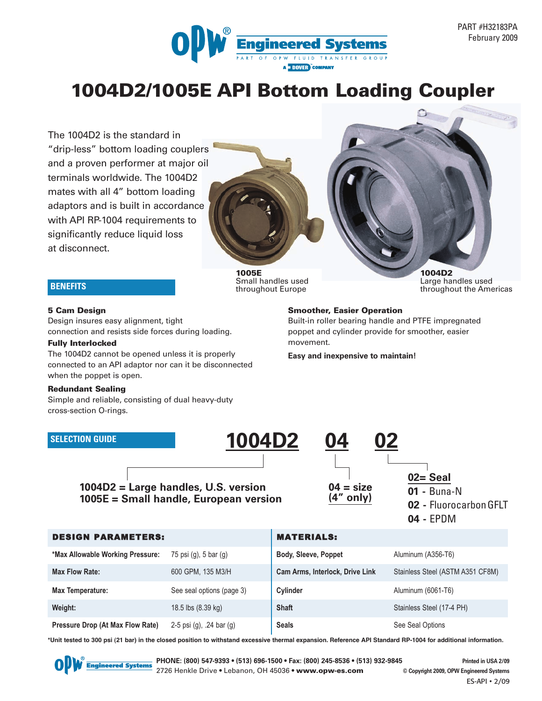

PART #H32183PA February 2009

# **1004D2/1005E API Bottom Loading Coupler**

The 1004D2 is the standard in "drip-less" bottom loading couplers and a proven performer at major oil terminals worldwide. The 1004D2 mates with all 4" bottom loading adaptors and is built in accordance with API RP-1004 requirements to significantly reduce liquid loss at disconnect.

> **1005E** Small handles used throughout Europe

**1004D2** Large handles used throughout the Americas

#### **BENEFITS**

#### **5 Cam Design**

Design insures easy alignment, tight connection and resists side forces during loading.

#### **Fully Interlocked**

The 1004D2 cannot be opened unless it is properly connected to an API adaptor nor can it be disconnected when the poppet is open.

#### **Redundant Sealing**

Simple and reliable, consisting of dual heavy-duty cross-section O-rings.

# **SELECTION GUIDE 1004D2 04 02**

## **1004D2 = Large handles, U.S. version 1005E = Small handle, European version**

**Smoother, Easier Operation** Built-in roller bearing handle and PTFE impregnated

poppet and cylinder provide for smoother, easier movement.

**Easy and inexpensive to maintain!**



| 04 | EPDM |
|----|------|
|----|------|

| <b>DESIGN PARAMETERS:</b>        |                            | <b>MATERIALS:</b>               |                                  |
|----------------------------------|----------------------------|---------------------------------|----------------------------------|
| *Max Allowable Working Pressure: | 75 psi $(q)$ , 5 bar $(q)$ | Body, Sleeve, Poppet            | Aluminum (A356-T6)               |
| <b>Max Flow Rate:</b>            | 600 GPM, 135 M3/H          | Cam Arms, Interlock, Drive Link | Stainless Steel (ASTM A351 CF8M) |
| <b>Max Temperature:</b>          | See seal options (page 3)  | Cylinder                        | Aluminum (6061-T6)               |
| Weight:                          | 18.5 lbs (8.39 kg)         | <b>Shaft</b>                    | Stainless Steel (17-4 PH)        |
| Pressure Drop (At Max Flow Rate) | 2-5 psi (g), .24 bar (g)   | <b>Seals</b>                    | See Seal Options                 |

**\*Unit tested to 300 psi (21 bar) in the closed position to withstand excessive thermal expansion. Reference API Standard RP-1004 for additional information.**



**PHONE: (800) 547-9393 • (513) 696-1500 • Fax: (800) 245-8536 • (513) 932-9845 Printed in USA 2/09** 2726 Henkle Drive • Lebanon, OH 45036 **• www.opw-es.com © Copyright 2009, OPW Engineered Systems**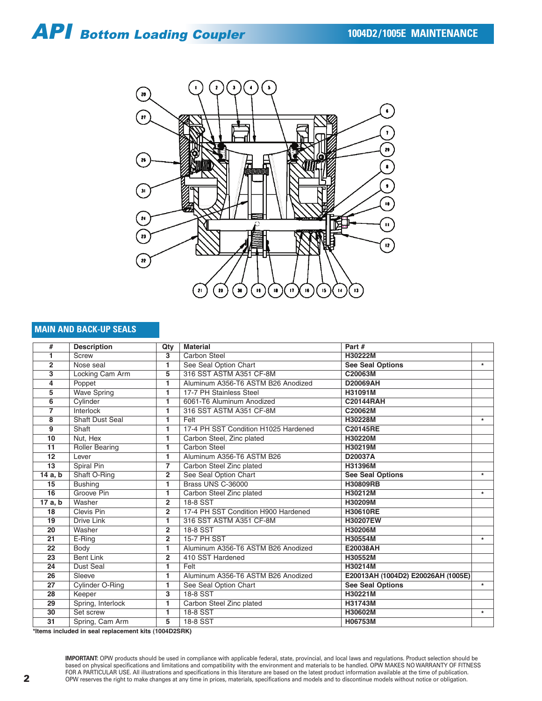

#### **MAIN AND BACK-UP SEALS**

| #               | <b>Description</b>     | Qty            | <b>Material</b>                      | Part#                              |         |
|-----------------|------------------------|----------------|--------------------------------------|------------------------------------|---------|
| 1               | Screw                  | 3              | Carbon Steel                         | H30222M                            |         |
| $\overline{2}$  | Nose seal              | 1              | See Seal Option Chart                | <b>See Seal Options</b>            | $\star$ |
| 3               | Locking Cam Arm        | 5              | 316 SST ASTM A351 CF-8M              | C20063M                            |         |
| 4               | Poppet                 | 1              | Aluminum A356-T6 ASTM B26 Anodized   | D20069AH                           |         |
| 5               | <b>Wave Spring</b>     | 1              | 17-7 PH Stainless Steel              | H31091M                            |         |
| 6               | Cylinder               | 1              | 6061-T6 Aluminum Anodized            | <b>C20144RAH</b>                   |         |
| $\overline{7}$  | Interlock              | 1              | 316 SST ASTM A351 CF-8M              | C20062M                            |         |
| 8               | <b>Shaft Dust Seal</b> | 1              | Felt                                 | H30228M                            | $\ast$  |
| 9               | Shaft                  | 1              | 17-4 PH SST Condition H1025 Hardened | C20145RE                           |         |
| 10              | Nut, Hex               | 1              | Carbon Steel, Zinc plated            | H30220M                            |         |
| 11              | <b>Roller Bearing</b>  | 1              | <b>Carbon Steel</b>                  | H30219M                            |         |
| 12              | Lever                  | 1              | Aluminum A356-T6 ASTM B26            | D20037A                            |         |
| 13              | Spiral Pin             | $\overline{7}$ | Carbon Steel Zinc plated             | H31396M                            |         |
| 14 a, b         | Shaft O-Ring           | $\overline{2}$ | See Seal Option Chart                | <b>See Seal Options</b>            | $\star$ |
| 15              | <b>Bushing</b>         | 1              | Brass UNS C-36000                    | H30809RB                           |         |
| 16              | Groove Pin             | 1              | Carbon Steel Zinc plated             | H30212M                            | $\star$ |
| 17 a, b         | Washer                 | $\overline{2}$ | 18-8 SST                             | H30209M                            |         |
| 18              | Clevis Pin             | $\overline{2}$ | 17-4 PH SST Condition H900 Hardened  | H30610RE                           |         |
| 19              | Drive Link             | 1              | 316 SST ASTM A351 CF-8M              | H30207EW                           |         |
| 20              | Washer                 | $\overline{2}$ | 18-8 SST                             | H30206M                            |         |
| 21              | E-Ring                 | $\overline{2}$ | 15-7 PH SST                          | H30554M                            | $\star$ |
| 22              | Body                   | 1              | Aluminum A356-T6 ASTM B26 Anodized   | E20038AH                           |         |
| 23              | <b>Bent Link</b>       | $\overline{2}$ | 410 SST Hardened                     | H30552M                            |         |
| 24              | Dust Seal              | 1              | Felt                                 | H30214M                            |         |
| 26              | Sleeve                 | 1              | Aluminum A356-T6 ASTM B26 Anodized   | E20013AH (1004D2) E20026AH (1005E) |         |
| 27              | Cylinder O-Ring        | 1              | See Seal Option Chart                | <b>See Seal Options</b>            | $\star$ |
| $\overline{28}$ | Keeper                 | 3              | 18-8 SST                             | H30221M                            |         |
| 29              | Spring, Interlock      | 1              | Carbon Steel Zinc plated             | H31743M                            |         |
| 30              | Set screw              | 1              | 18-8 SST                             | H30602M                            | $\star$ |
| $\overline{31}$ | Spring, Cam Arm        | 5              | 18-8 SST                             | H06753M                            |         |

**\*Items included in seal replacement kits (1004D2SRK)**

**IMPORTANT:** OPW products should be used in compliance with applicable federal, state, provincial, and local laws and regulations. Product selection should be based on physical specifications and limitations and compatibility with the environment and materials to be handled. OPW MAKES NO WARRANTY OF FITNESS FOR A PARTICULAR USE. All illustrations and specifications in this literature are based on the latest product information available at the time of publication. OPW reserves the right to make changes at any time in prices, materials, specifications and models and to discontinue models without notice or obligation.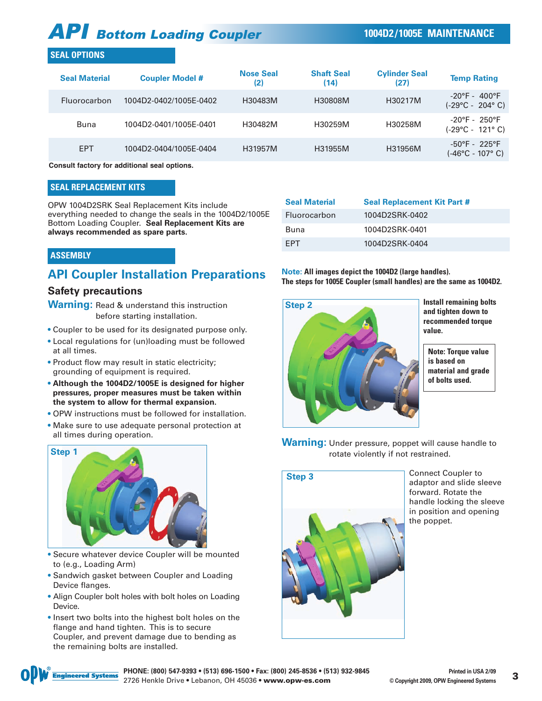#### **SEAL OPTIONS**

| <b>Seal Material</b> | <b>Coupler Model #</b>                      | <b>Nose Seal</b><br>(2) | <b>Shaft Seal</b><br>(14) | <b>Cylinder Seal</b><br>(27) | <b>Temp Rating</b>                                                     |
|----------------------|---------------------------------------------|-------------------------|---------------------------|------------------------------|------------------------------------------------------------------------|
| <b>Fluorocarbon</b>  | 1004D2-0402/1005E-0402                      | H30483M                 | H30808M                   | H30217M                      | $-20^{\circ}$ F - 400 $^{\circ}$ F<br>$(-29^{\circ}C - 204^{\circ} C)$ |
| Buna                 | 1004D2-0401/1005E-0401                      | H30482M                 | H30259M                   | H30258M                      | $-20^{\circ}$ F - 250°F<br>(-29°C - 121°C)                             |
| <b>EPT</b>           | 1004D2-0404/1005E-0404                      | H31957M                 | H31955M                   | H31956M                      | $-50^{\circ}$ F - 225°F<br>$(-46^{\circ}C - 107^{\circ} C)$            |
|                      | Osmanlt fastamı fan additional aast antispa |                         |                           |                              |                                                                        |

**Consult factory for additional seal options.**

#### **SEAL REPLACEMENT KITS**

OPW 1004D2SRK Seal Replacement Kits include everything needed to change the seals in the 1004D2/1005E Bottom Loading Coupler. **Seal Replacement Kits are always recommended as spare parts.**

| ASSEMBLY |  |  |
|----------|--|--|
|          |  |  |

## **API Coupler Installation Preparations**

#### **Safety precautions**

**Warning:** Read & understand this instruction before starting installation.

- Coupler to be used for its designated purpose only.
- Local regulations for (un)loading must be followed at all times.
- Product flow may result in static electricity; grounding of equipment is required.
- **Although the 1004D2/1005E is designed for higher pressures, proper measures must be taken within the system to allow for thermal expansion.**
- OPW instructions must be followed for installation.
- Make sure to use adequate personal protection at all times during operation.



- Secure whatever device Coupler will be mounted to (e.g., Loading Arm)
- Sandwich gasket between Coupler and Loading Device flanges.
- Align Coupler bolt holes with bolt holes on Loading Device.
- Insert two bolts into the highest bolt holes on the flange and hand tighten. This is to secure Coupler, and prevent damage due to bending as the remaining bolts are installed.

| <b>Seal Material</b> | <b>Seal Replacement Kit Part #</b> |
|----------------------|------------------------------------|
| Fluorocarbon         | 1004D2SRK-0402                     |
| Buna                 | 1004D2SRK-0401                     |
| <b>FPT</b>           | 1004D2SRK-0404                     |

**Note: All images depict the 1004D2 (large handles). The steps for 1005E Coupler (small handles) are the same as 1004D2.**



**Install remaining bolts and tighten down to recommended torque value.** 

**Note: Torque value is based on material and grade of bolts used.**

**Warning:** Under pressure, poppet will cause handle to rotate violently if not restrained.



Connect Coupler to adaptor and slide sleeve forward. Rotate the handle locking the sleeve in position and opening the poppet.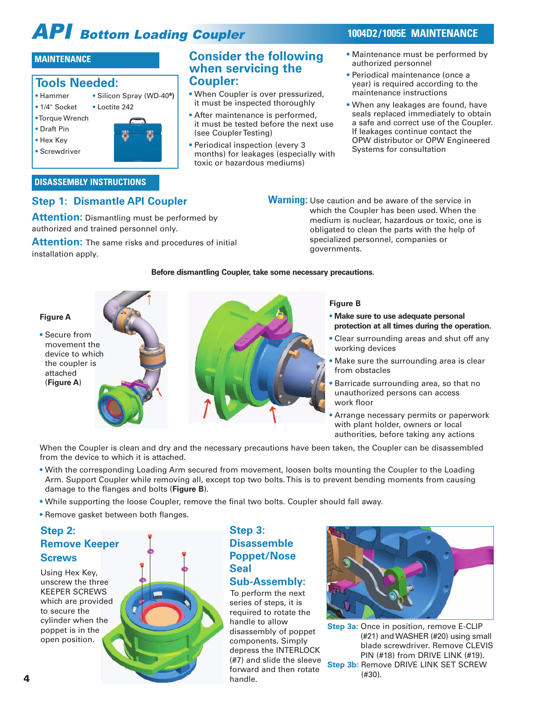- Maintenance must be performed by authorized personnel
- Periodical maintenance (once a year) is required according to the maintenance instructions
- When any leakages are found, have seals replaced immediately to obtain a safe and correct use of the Coupler. If leakages continue contact the OPW distributor or OPW Engineered Systems for consultation

## **MAINTENANCE Consider the following**

#### **Tools Needed:** • Hammer • Silicon Spray (WD-40<sup>®</sup>)

- 1/4" Socket Loctite 242
- •Torque Wrench
- Draft Pin
- Hex Key
- Screwdriver

#### **DISASSEMBLY INSTRUCTIONS**

### **Step 1: Dismantle API Coupler**

**Attention:** Dismantling must be performed by authorized and trained personnel only.

**Attention:** The same risks and procedures of initial installation apply.

**Warning:** Use caution and be aware of the service in which the Coupler has been used. When the medium is nuclear, hazardous or toxic, one is obligated to clean the parts with the help of specialized personnel, companies or governments.

#### **Before dismantling Coupler, take some necessary precautions.**

**when servicing the**

(see Coupler Testing)

• Periodical inspection (every 3

toxic or hazardous mediums)

months) for leakages (especially with

• When Coupler is over pressurized, it must be inspected thoroughly • After maintenance is performed, it must be tested before the next use

**Coupler:**



- **• Make sure to use adequate personal protection at all times during the operation.**
- Clear surrounding areas and shut off any working devices
- Make sure the surrounding area is clear from obstacles
- Barricade surrounding area, so that no unauthorized persons can access work floor
- Arrange necessary permits or paperwork with plant holder, owners or local authorities, before taking any actions

When the Coupler is clean and dry and the necessary precautions have been taken, the Coupler can be disassembled from the device to which it is attached.

- With the corresponding Loading Arm secured from movement, loosen bolts mounting the Coupler to the Loading Arm. Support Coupler while removing all, except top two bolts. This is to prevent bending moments from causing damage to the flanges and bolts (**Figure B**).
- While supporting the loose Coupler, remove the final two bolts. Coupler should fall away.
- Remove gasket between both flanges.

### **Step 2: Remove Keeper Screws**

Using Hex Key, unscrew the three KEEPER SCREWS which are provided to secure the cylinder when the poppet is in the open position.



#### **Step 3: Disassemble Poppet/Nose Seal Sub-Assembly:**

**4** (#30). To perform the next series of steps, it is required to rotate the handle to allow disassembly of poppet components. Simply depress the INTERLOCK (#7) and slide the sleeve forward and then rotate handle.



**Step 3a:** Once in position, remove E-CLIP (#21) and WASHER (#20) using small blade screwdriver. Remove CLEVIS PIN (#18) from DRIVE LINK (#19). **Step 3b: Remove DRIVE LINK SET SCREW**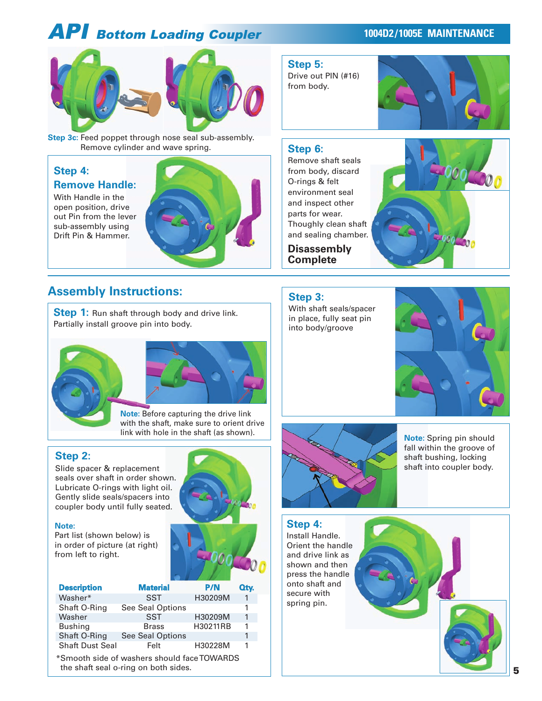

**Step 3c:** Feed poppet through nose seal sub-assembly. Remove cylinder and wave spring.

#### **Step 4: Remove Handle:**

With Handle in the open position, drive out Pin from the lever sub-assembly using Drift Pin & Hammer.



## **Assembly Instructions:**

**Step 1:** Run shaft through body and drive link. Partially install groove pin into body.





**Note:** Before capturing the drive link with the shaft, make sure to orient drive link with hole in the shaft (as shown).

#### **Step 2:**

Slide spacer & replacement seals over shaft in order shown. Lubricate O-rings with light oil. Gently slide seals/spacers into coupler body until fully seated.

#### **Note:**

Part list (shown below) is in order of picture (at right) from left to right.

| <b>Description</b>                               | <b>Material</b>  | <b>P/N</b> | Qty. |
|--------------------------------------------------|------------------|------------|------|
| Washer*                                          | <b>SST</b>       | H30209M    | 1    |
| Shaft O-Ring                                     | See Seal Options |            | 1    |
| Washer                                           | <b>SST</b>       | H30209M    | 1    |
| <b>Bushing</b>                                   | <b>Brass</b>     | H30211RB   | 1    |
| Shaft O-Ring                                     | See Seal Options |            | 1    |
| <b>Shaft Dust Seal</b>                           | Felt             | H30228M    | 1    |
| *Smooth side of washers should face TOWARDS<br>. |                  |            |      |

the shaft seal o-ring on both sides.



**Note:** Spring pin should fall within the groove of shaft bushing, locking shaft into coupler body.



spring pin.



#### **Step 6:**

**Step 5:**

from body.

Drive out PIN (#16)

Remove shaft seals from body, discard O-rings & felt environment seal and inspect other parts for wear. Thoughly clean shaft and sealing chamber.

**Disassembly Complete**



# **Step 3:**

With shaft seals/spacer in place, fully seat pin into body/groove